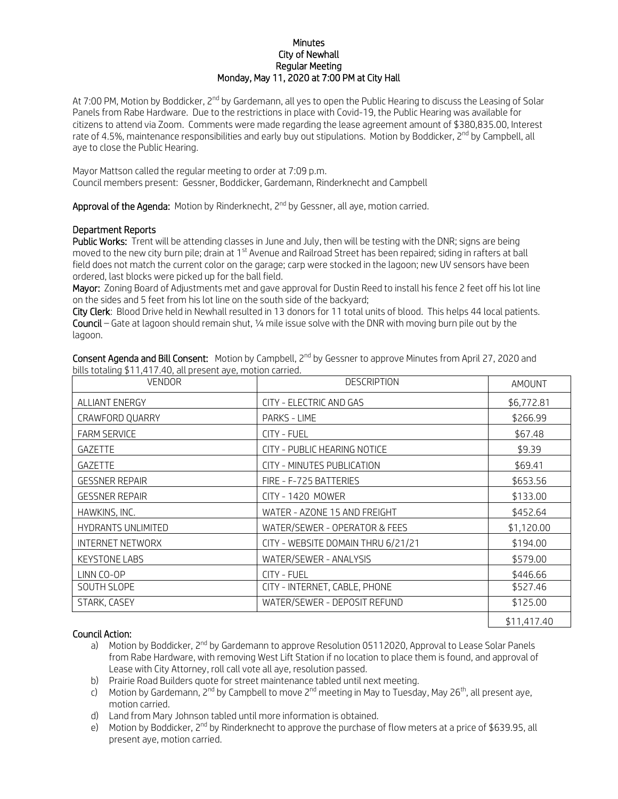## **Minutes** City of Newhall Regular Meeting Monday, May 11, 2020 at 7:00 PM at City Hall

At 7:00 PM, Motion by Boddicker, 2<sup>nd</sup> by Gardemann, all yes to open the Public Hearing to discuss the Leasing of Solar Panels from Rabe Hardware. Due to the restrictions in place with Covid-19, the Public Hearing was available for citizens to attend via Zoom. Comments were made regarding the lease agreement amount of \$380,835.00, Interest rate of 4.5%, maintenance responsibilities and early buy out stipulations. Motion by Boddicker, 2<sup>nd</sup> by Campbell, all aye to close the Public Hearing.

Mayor Mattson called the regular meeting to order at 7:09 p.m. Council members present: Gessner, Boddicker, Gardemann, Rinderknecht and Campbell

Approval of the Agenda: Motion by Rinderknecht, 2<sup>nd</sup> by Gessner, all aye, motion carried.

## Department Reports

Public Works: Trent will be attending classes in June and July, then will be testing with the DNR; signs are being moved to the new city burn pile; drain at 1<sup>st</sup> Avenue and Railroad Street has been repaired; siding in rafters at ball field does not match the current color on the garage; carp were stocked in the lagoon; new UV sensors have been ordered, last blocks were picked up for the ball field.

Mayor: Zoning Board of Adjustments met and gave approval for Dustin Reed to install his fence 2 feet off his lot line on the sides and 5 feet from his lot line on the south side of the backyard;

City Clerk: Blood Drive held in Newhall resulted in 13 donors for 11 total units of blood. This helps 44 local patients. Council – Gate at lagoon should remain shut, 1/4 mile issue solve with the DNR with moving burn pile out by the lagoon.

Consent Agenda and Bill Consent: Motion by Campbell, 2<sup>nd</sup> by Gessner to approve Minutes from April 27, 2020 and bills totaling \$11,417.40, all present aye, motion carried.

| <b>VENDOR</b>             | <b>DESCRIPTION</b>                 | AMOUNT      |
|---------------------------|------------------------------------|-------------|
| <b>ALLIANT ENERGY</b>     | CITY - ELECTRIC AND GAS            | \$6,772.81  |
| CRAWFORD QUARRY           | PARKS - LIME                       | \$266.99    |
| <b>FARM SERVICE</b>       | CITY - FUEL                        | \$67.48     |
| <b>GAZETTE</b>            | CITY - PUBLIC HEARING NOTICE       | \$9.39      |
| <b>GAZETTE</b>            | CITY - MINUTES PUBLICATION         | \$69.41     |
| <b>GESSNER REPAIR</b>     | FIRE - F-725 BATTERIES             | \$653.56    |
| <b>GESSNER REPAIR</b>     | CITY - 1420 MOWER                  | \$133.00    |
| HAWKINS, INC.             | WATER - AZONE 15 AND FREIGHT       | \$452.64    |
| <b>HYDRANTS UNLIMITED</b> | WATER/SEWER - OPERATOR & FEES      | \$1,120.00  |
| <b>INTERNET NETWORX</b>   | CITY - WEBSITE DOMAIN THRU 6/21/21 | \$194.00    |
| <b>KEYSTONE LABS</b>      | WATER/SEWER - ANALYSIS             | \$579.00    |
| LINN CO-OP                | <b>CITY - FUEL</b>                 | \$446.66    |
| SOUTH SLOPE               | CITY - INTERNET, CABLE, PHONE      | \$527.46    |
| STARK, CASEY              | WATER/SEWER - DEPOSIT REFUND       | \$125.00    |
|                           |                                    | \$11,417.40 |

## Council Action:

- a) Motion by Boddicker, 2<sup>nd</sup> by Gardemann to approve Resolution 05112020, Approval to Lease Solar Panels from Rabe Hardware, with removing West Lift Station if no location to place them is found, and approval of Lease with City Attorney, roll call vote all aye, resolution passed.
- b) Prairie Road Builders quote for street maintenance tabled until next meeting.
- c) Motion by Gardemann, 2<sup>nd</sup> by Campbell to move 2<sup>nd</sup> meeting in May to Tuesday, May 26<sup>th</sup>, all present aye, motion carried.
- d) Land from Mary Johnson tabled until more information is obtained.
- e) Motion by Boddicker, 2<sup>nd</sup> by Rinderknecht to approve the purchase of flow meters at a price of \$639.95, all present aye, motion carried.